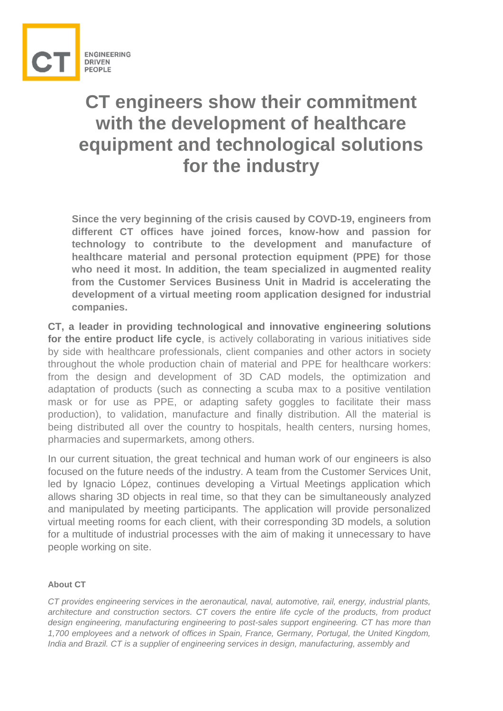

## **CT engineers show their commitment with the development of healthcare equipment and technological solutions for the industry**

**Since the very beginning of the crisis caused by COVD-19, engineers from different CT offices have joined forces, know-how and passion for technology to contribute to the development and manufacture of healthcare material and personal protection equipment (PPE) for those who need it most. In addition, the team specialized in augmented reality from the Customer Services Business Unit in Madrid is accelerating the development of a virtual meeting room application designed for industrial companies.**

**CT, a leader in providing technological and innovative engineering solutions for the entire product life cycle**, is actively collaborating in various initiatives side by side with healthcare professionals, client companies and other actors in society throughout the whole production chain of material and PPE for healthcare workers: from the design and development of 3D CAD models, the optimization and adaptation of products (such as connecting a scuba max to a positive ventilation mask or for use as PPE, or adapting safety goggles to facilitate their mass production), to validation, manufacture and finally distribution. All the material is being distributed all over the country to hospitals, health centers, nursing homes, pharmacies and supermarkets, among others.

In our current situation, the great technical and human work of our engineers is also focused on the future needs of the industry. A team from the Customer Services Unit, led by Ignacio López, continues developing a Virtual Meetings application which allows sharing 3D objects in real time, so that they can be simultaneously analyzed and manipulated by meeting participants. The application will provide personalized virtual meeting rooms for each client, with their corresponding 3D models, a solution for a multitude of industrial processes with the aim of making it unnecessary to have people working on site.

## **About CT**

*CT provides engineering services in the aeronautical, naval, automotive, rail, energy, industrial plants, architecture and construction sectors. CT covers the entire life cycle of the products, from product design engineering, manufacturing engineering to post-sales support engineering. CT has more than 1,700 employees and a network of offices in Spain, France, Germany, Portugal, the United Kingdom, India and Brazil. CT is a supplier of engineering services in design, manufacturing, assembly and*